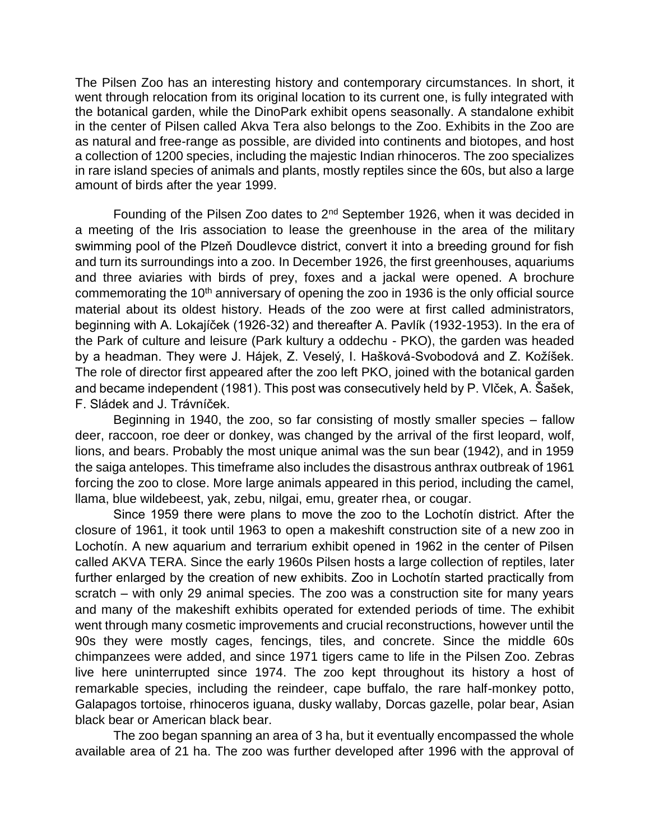The Pilsen Zoo has an interesting history and contemporary circumstances. In short, it went through relocation from its original location to its current one, is fully integrated with the botanical garden, while the DinoPark exhibit opens seasonally. A standalone exhibit in the center of Pilsen called Akva Tera also belongs to the Zoo. Exhibits in the Zoo are as natural and free-range as possible, are divided into continents and biotopes, and host a collection of 1200 species, including the majestic Indian rhinoceros. The zoo specializes in rare island species of animals and plants, mostly reptiles since the 60s, but also a large amount of birds after the year 1999.

Founding of the Pilsen Zoo dates to 2nd September 1926, when it was decided in a meeting of the Iris association to lease the greenhouse in the area of the military swimming pool of the Plzeň Doudlevce district, convert it into a breeding ground for fish and turn its surroundings into a zoo. In December 1926, the first greenhouses, aquariums and three aviaries with birds of prey, foxes and a jackal were opened. A brochure commemorating the 10<sup>th</sup> anniversary of opening the zoo in 1936 is the only official source material about its oldest history. Heads of the zoo were at first called administrators, beginning with A. Lokajíček (1926-32) and thereafter A. Pavlík (1932-1953). In the era of the Park of culture and leisure (Park kultury a oddechu - PKO), the garden was headed by a headman. They were J. Hájek, Z. Veselý, I. Hašková-Svobodová and Z. Kožíšek. The role of director first appeared after the zoo left PKO, joined with the botanical garden and became independent (1981). This post was consecutively held by P. Vlček, A. Šašek, F. Sládek and J. Trávníček.

Beginning in 1940, the zoo, so far consisting of mostly smaller species – fallow deer, raccoon, roe deer or donkey, was changed by the arrival of the first leopard, wolf, lions, and bears. Probably the most unique animal was the sun bear (1942), and in 1959 the saiga antelopes. This timeframe also includes the disastrous anthrax outbreak of 1961 forcing the zoo to close. More large animals appeared in this period, including the camel, llama, blue wildebeest, yak, zebu, nilgai, emu, greater rhea, or cougar.

Since 1959 there were plans to move the zoo to the Lochotín district. After the closure of 1961, it took until 1963 to open a makeshift construction site of a new zoo in Lochotín. A new aquarium and terrarium exhibit opened in 1962 in the center of Pilsen called AKVA TERA. Since the early 1960s Pilsen hosts a large collection of reptiles, later further enlarged by the creation of new exhibits. Zoo in Lochotín started practically from scratch – with only 29 animal species. The zoo was a construction site for many years and many of the makeshift exhibits operated for extended periods of time. The exhibit went through many cosmetic improvements and crucial reconstructions, however until the 90s they were mostly cages, fencings, tiles, and concrete. Since the middle 60s chimpanzees were added, and since 1971 tigers came to life in the Pilsen Zoo. Zebras live here uninterrupted since 1974. The zoo kept throughout its history a host of remarkable species, including the reindeer, cape buffalo, the rare half-monkey potto, Galapagos tortoise, rhinoceros iguana, dusky wallaby, Dorcas gazelle, polar bear, Asian black bear or American black bear.

The zoo began spanning an area of 3 ha, but it eventually encompassed the whole available area of 21 ha. The zoo was further developed after 1996 with the approval of